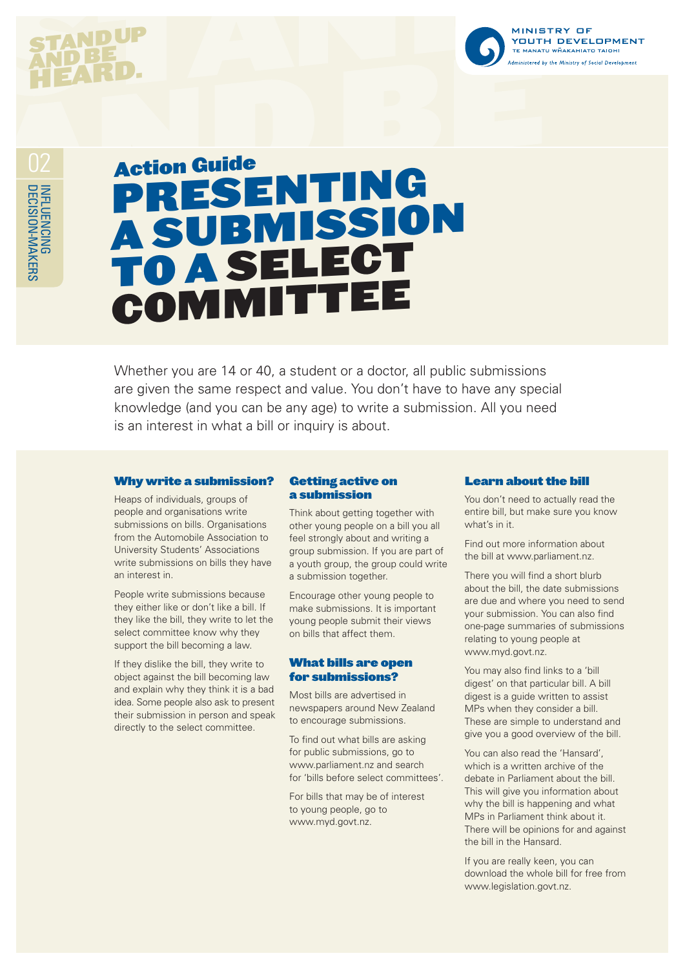# **STANDUP** AND BE HEARD.



INFLUENCING<br>DECISION-MAKERS

# Action Guide PresentING a submission to a Select **COMMITTEE**

Whether you are 14 or 40, a student or a doctor, all public submissions are given the same respect and value. You don't have to have any special knowledge (and you can be any age) to write a submission. All you need is an interest in what a bill or inquiry is about.

#### Why write a submission?

Heaps of individuals, groups of people and organisations write submissions on bills. Organisations from the Automobile Association to University Students' Associations write submissions on bills they have an interest in.

People write submissions because they either like or don't like a bill. If they like the bill, they write to let the select committee know why they support the bill becoming a law.

If they dislike the bill, they write to object against the bill becoming law and explain why they think it is a bad idea. Some people also ask to present their submission in person and speak directly to the select committee.

## Getting active on a submission

Think about getting together with other young people on a bill you all feel strongly about and writing a group submission. If you are part of a youth group, the group could write a submission together.

Encourage other young people to make submissions. It is important young people submit their views on bills that affect them.

#### What bills are open for submissions?

Most bills are advertised in newspapers around New Zealand to encourage submissions.

To find out what bills are asking for public submissions, go to www.parliament.nz and search for 'bills before select committees'.

For bills that may be of interest to young people, go to www.myd.govt.nz.

#### Learn about the bill

You don't need to actually read the entire bill, but make sure you know what's in it.

Find out more information about the bill at www.parliament.nz.

There you will find a short blurb about the bill, the date submissions are due and where you need to send your submission. You can also find one-page summaries of submissions relating to young people at www.myd.govt.nz.

You may also find links to a 'bill digest' on that particular bill. A bill digest is a guide written to assist MPs when they consider a bill. These are simple to understand and give you a good overview of the bill.

You can also read the 'Hansard', which is a written archive of the debate in Parliament about the bill. This will give you information about why the bill is happening and what MPs in Parliament think about it. There will be opinions for and against the bill in the Hansard.

If you are really keen, you can download the whole bill for free from www.legislation.govt.nz.